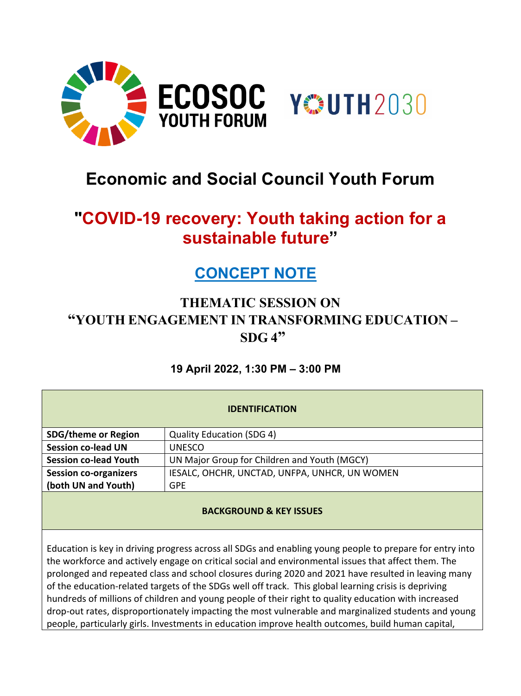

# **Economic and Social Council Youth Forum**

# **"COVID-19 recovery: Youth taking action for a sustainable future"**

# **CONCEPT NOTE**

# **THEMATIC SESSION ON "YOUTH ENGAGEMENT IN TRANSFORMING EDUCATION – SDG 4"**

# **19 April 2022, 1:30 PM – 3:00 PM**

| <b>IDENTIFICATION</b>        |                                               |
|------------------------------|-----------------------------------------------|
| <b>SDG/theme or Region</b>   | <b>Quality Education (SDG 4)</b>              |
| <b>Session co-lead UN</b>    | <b>UNESCO</b>                                 |
| <b>Session co-lead Youth</b> | UN Major Group for Children and Youth (MGCY)  |
| <b>Session co-organizers</b> | IESALC, OHCHR, UNCTAD, UNFPA, UNHCR, UN WOMEN |
| (both UN and Youth)          | <b>GPE</b>                                    |
|                              |                                               |

# **BACKGROUND & KEY ISSUES**

Education is key in driving progress across all SDGs and enabling young people to prepare for entry into the workforce and actively engage on critical social and environmental issues that affect them. The prolonged and repeated class and school closures during 2020 and 2021 have resulted in leaving many of the education-related targets of the SDGs well off track. This global learning crisis is depriving hundreds of millions of children and young people of their right to quality education with increased drop-out rates, disproportionately impacting the most vulnerable and marginalized students and young people, particularly girls. Investments in education improve health outcomes, build human capital,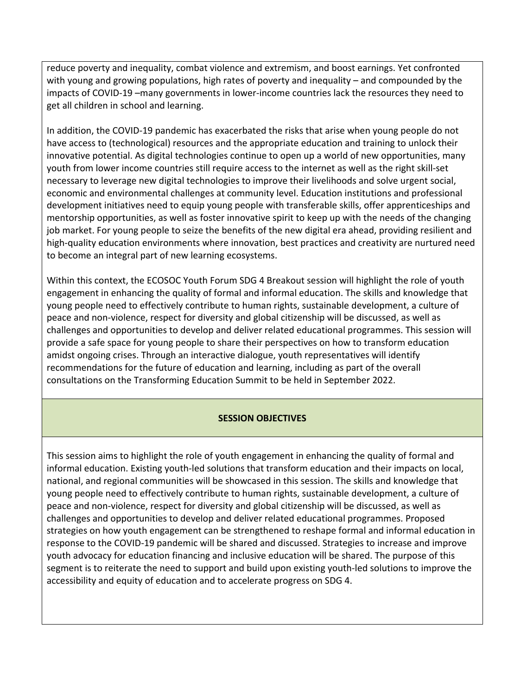reduce poverty and inequality, combat violence and extremism, and boost earnings. Yet confronted with young and growing populations, high rates of poverty and inequality – and compounded by the impacts of COVID-19 –many governments in lower-income countries lack the resources they need to get all children in school and learning.

In addition, the COVID-19 pandemic has exacerbated the risks that arise when young people do not have access to (technological) resources and the appropriate education and training to unlock their innovative potential. As digital technologies continue to open up a world of new opportunities, many youth from lower income countries still require access to the internet as well as the right skill-set necessary to leverage new digital technologies to improve their livelihoods and solve urgent social, economic and environmental challenges at community level. Education institutions and professional development initiatives need to equip young people with transferable skills, offer apprenticeships and mentorship opportunities, as well as foster innovative spirit to keep up with the needs of the changing job market. For young people to seize the benefits of the new digital era ahead, providing resilient and high-quality education environments where innovation, best practices and creativity are nurtured need to become an integral part of new learning ecosystems.

Within this context, the ECOSOC Youth Forum SDG 4 Breakout session will highlight the role of youth engagement in enhancing the quality of formal and informal education. The skills and knowledge that young people need to effectively contribute to human rights, sustainable development, a culture of peace and non-violence, respect for diversity and global citizenship will be discussed, as well as challenges and opportunities to develop and deliver related educational programmes. This session will provide a safe space for young people to share their perspectives on how to transform education amidst ongoing crises. Through an interactive dialogue, youth representatives will identify recommendations for the future of education and learning, including as part of the overall consultations on the Transforming Education Summit to be held in September 2022.

#### **SESSION OBJECTIVES**

This session aims to highlight the role of youth engagement in enhancing the quality of formal and informal education. Existing youth-led solutions that transform education and their impacts on local, national, and regional communities will be showcased in this session. The skills and knowledge that young people need to effectively contribute to human rights, sustainable development, a culture of peace and non-violence, respect for diversity and global citizenship will be discussed, as well as challenges and opportunities to develop and deliver related educational programmes. Proposed strategies on how youth engagement can be strengthened to reshape formal and informal education in response to the COVID-19 pandemic will be shared and discussed. Strategies to increase and improve youth advocacy for education financing and inclusive education will be shared. The purpose of this segment is to reiterate the need to support and build upon existing youth-led solutions to improve the accessibility and equity of education and to accelerate progress on SDG 4.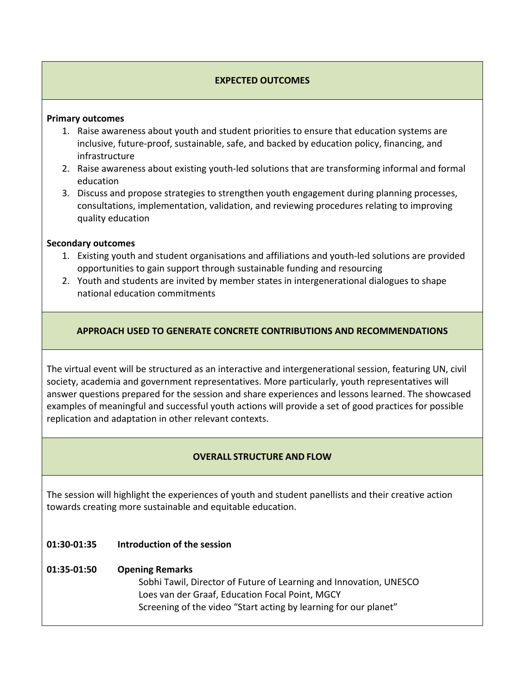### **EXPECTED OUTCOMES**

#### **Primary outcomes**

- 1. Raise awareness about youth and student priorities to ensure that education systems are inclusive, future-proof, sustainable, safe, and backed by education policy, financing, and infrastructure
- 2. Raise awareness about existing youth-led solutions that are transforming informal and formal education
- 3. Discuss and propose strategies to strengthen youth engagement during planning processes, consultations, implementation, validation, and reviewing procedures relating to improving quality education

#### **Secondary outcomes**

- 1. Existing youth and student organisations and affiliations and youth-led solutions are provided opportunities to gain support through sustainable funding and resourcing
- 2. Youth and students are invited by member states in intergenerational dialogues to shape national education commitments

#### **APPROACH USED TO GENERATE CONCRETE CONTRIBUTIONS AND RECOMMENDATIONS**

The virtual event will be structured as an interactive and intergenerational session, featuring UN, civil society, academia and government representatives. More particularly, youth representatives will answer questions prepared for the session and share experiences and lessons learned. The showcased examples of meaningful and successful youth actions will provide a set of good practices for possible replication and adaptation in other relevant contexts.

#### **OVERALL STRUCTURE AND FLOW**

The session will highlight the experiences of youth and student panellists and their creative action towards creating more sustainable and equitable education.

#### **01:30-01:35 Introduction of the session**

#### **01:35-01:50 Opening Remarks**

Sobhi Tawil, Director of Future of Learning and Innovation, UNESCO Loes van der Graaf, Education Focal Point, MGCY Screening of the video "Start acting by learning for our planet"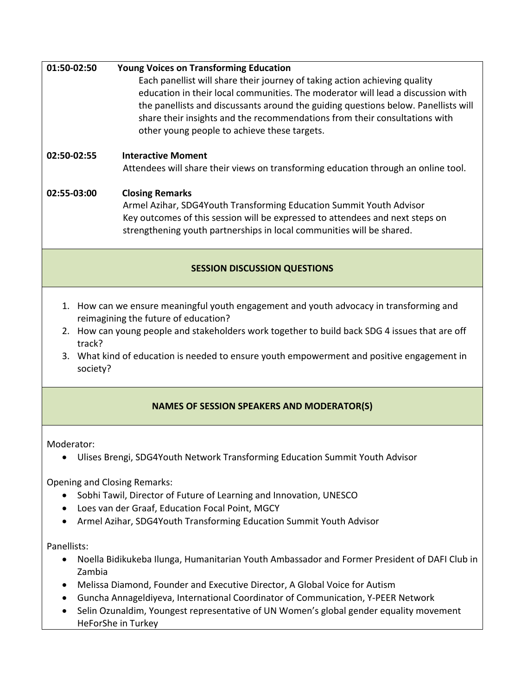# **01:50-02:50 Young Voices on Transforming Education** Each panellist will share their journey of taking action achieving quality education in their local communities. The moderator will lead a discussion with the panellists and discussants around the guiding questions below. Panellists will share their insights and the recommendations from their consultations with other young people to achieve these targets.

# **02:50-02:55 Interactive Moment**

Attendees will share their views on transforming education through an online tool.

# **02:55-03:00 Closing Remarks**

Armel Azihar, SDG4Youth Transforming Education Summit Youth Advisor Key outcomes of this session will be expressed to attendees and next steps on strengthening youth partnerships in local communities will be shared.

# **SESSION DISCUSSION QUESTIONS**

- 1. How can we ensure meaningful youth engagement and youth advocacy in transforming and reimagining the future of education?
- 2. How can young people and stakeholders work together to build back SDG 4 issues that are off track?
- 3. What kind of education is needed to ensure youth empowerment and positive engagement in society?

# **NAMES OF SESSION SPEAKERS AND MODERATOR(S)**

Moderator:

• Ulises Brengi, SDG4Youth Network Transforming Education Summit Youth Advisor

Opening and Closing Remarks:

- Sobhi Tawil, Director of Future of Learning and Innovation, UNESCO
- Loes van der Graaf, Education Focal Point, MGCY
- Armel Azihar, SDG4Youth Transforming Education Summit Youth Advisor

Panellists:

- Noella Bidikukeba Ilunga, Humanitarian Youth Ambassador and Former President of DAFI Club in Zambia
- Melissa Diamond, Founder and Executive Director, A Global Voice for Autism
- Guncha Annageldiyeva, International Coordinator of Communication, Y-PEER Network
- Selin Ozunaldim, Youngest representative of UN Women's global gender equality movement HeForShe in Turkey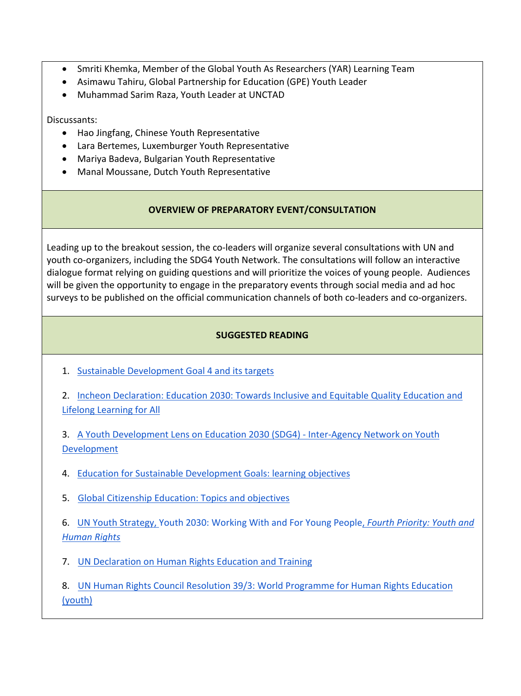- Smriti Khemka, Member of the Global Youth As Researchers (YAR) Learning Team
- Asimawu Tahiru, Global Partnership for Education (GPE) Youth Leader
- Muhammad Sarim Raza, Youth Leader at UNCTAD

Discussants:

- Hao Jingfang, Chinese Youth Representative
- Lara Bertemes, Luxemburger Youth Representative
- Mariya Badeva, Bulgarian Youth Representative
- Manal Moussane, Dutch Youth Representative

### **OVERVIEW OF PREPARATORY EVENT/CONSULTATION**

Leading up to the breakout session, the co-leaders will organize several consultations with UN and youth co-organizers, including the SDG4 Youth Network. The consultations will follow an interactive dialogue format relying on guiding questions and will prioritize the voices of young people. Audiences will be given the opportunity to engage in the preparatory events through social media and ad hoc surveys to be published on the official communication channels of both co-leaders and co-organizers.

# **SUGGESTED READING**

1. [Sustainable Development Goal 4 and its targets](https://sustainabledevelopment.un.org/sdg4)

2. [Incheon Declaration: Education 2030: Towards Inclusive and Equitable Quality Education and](https://unesdoc.unesco.org/ark:/48223/pf0000245656)  [Lifelong Learning for All](https://unesdoc.unesco.org/ark:/48223/pf0000245656)

3. [A Youth Development Lens on Education 2030 \(SDG4\) -](https://www.sdg4education2030.org/sites/default/files/2018-09/A%20Youth%20Development%20Lens%20on%20Education%202030%20September%202018.pdf) Inter-Agency Network on Youth [Development](https://www.sdg4education2030.org/sites/default/files/2018-09/A%20Youth%20Development%20Lens%20on%20Education%202030%20September%202018.pdf)

- 4. [Education for Sustainable Development Goals: learning objectives](https://unesdoc.unesco.org/ark:/48223/pf0000247444)
- 5. [Global Citizenship Education: Topics and objectives](https://unesdoc.unesco.org/ark:/48223/pf0000232993)

6. [UN Youth Strategy, Youth 2030: Working With and For Young People,](https://www.un.org/youthenvoy/wp-content/uploads/2018/09/18-00080_UN-Youth-Strategy_Web.pdf) *[Fourth Priority: Youth and](https://www.un.org/youthenvoy/wp-content/uploads/2018/09/18-00080_UN-Youth-Strategy_Web.pdf)  [Human Rights](https://www.un.org/youthenvoy/wp-content/uploads/2018/09/18-00080_UN-Youth-Strategy_Web.pdf)*

7. [UN Declaration on Human Rights Education and Training](https://documents-dds-ny.un.org/doc/UNDOC/GEN/N11/467/04/PDF/N1146704.pdf?OpenElement)

8. [UN Human Rights Council Resolution 39/3: World Programme for Human Rights Education](https://documents-dds-ny.un.org/doc/UNDOC/GEN/G18/293/75/PDF/G1829375.pdf?OpenElement)  [\(youth\)](https://documents-dds-ny.un.org/doc/UNDOC/GEN/G18/293/75/PDF/G1829375.pdf?OpenElement)